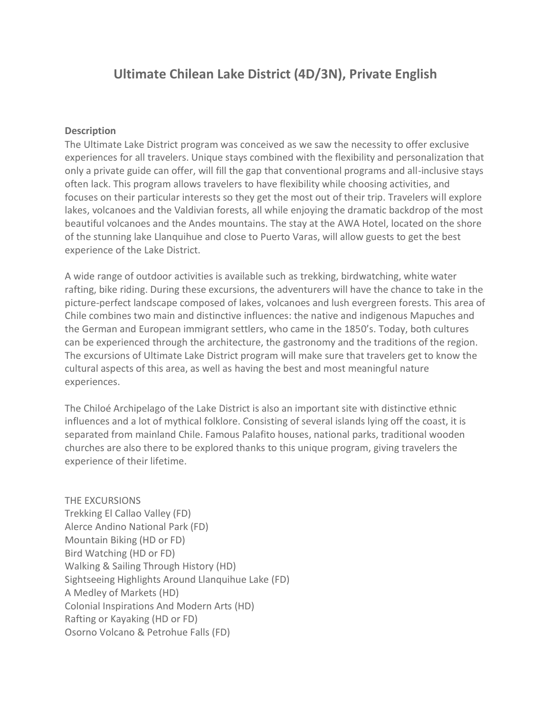## **Ultimate Chilean Lake District (4D/3N), Private English**

## **Description**

The Ultimate Lake District program was conceived as we saw the necessity to offer exclusive experiences for all travelers. Unique stays combined with the flexibility and personalization that only a private guide can offer, will fill the gap that conventional programs and all-inclusive stays often lack. This program allows travelers to have flexibility while choosing activities, and focuses on their particular interests so they get the most out of their trip. Travelers will explore lakes, volcanoes and the Valdivian forests, all while enjoying the dramatic backdrop of the most beautiful volcanoes and the Andes mountains. The stay at the AWA Hotel, located on the shore of the stunning lake Llanquihue and close to Puerto Varas, will allow guests to get the best experience of the Lake District.

A wide range of outdoor activities is available such as trekking, birdwatching, white water rafting, bike riding. During these excursions, the adventurers will have the chance to take in the picture-perfect landscape composed of lakes, volcanoes and lush evergreen forests. This area of Chile combines two main and distinctive influences: the native and indigenous Mapuches and the German and European immigrant settlers, who came in the 1850's. Today, both cultures can be experienced through the architecture, the gastronomy and the traditions of the region. The excursions of Ultimate Lake District program will make sure that travelers get to know the cultural aspects of this area, as well as having the best and most meaningful nature experiences.

The Chiloé Archipelago of the Lake District is also an important site with distinctive ethnic influences and a lot of mythical folklore. Consisting of several islands lying off the coast, it is separated from mainland Chile. Famous Palafito houses, national parks, traditional wooden churches are also there to be explored thanks to this unique program, giving travelers the experience of their lifetime.

THE EXCURSIONS Trekking El Callao Valley (FD) Alerce Andino National Park (FD) Mountain Biking (HD or FD) Bird Watching (HD or FD) Walking & Sailing Through History (HD) Sightseeing Highlights Around Llanquihue Lake (FD) A Medley of Markets (HD) Colonial Inspirations And Modern Arts (HD) Rafting or Kayaking (HD or FD) Osorno Volcano & Petrohue Falls (FD)